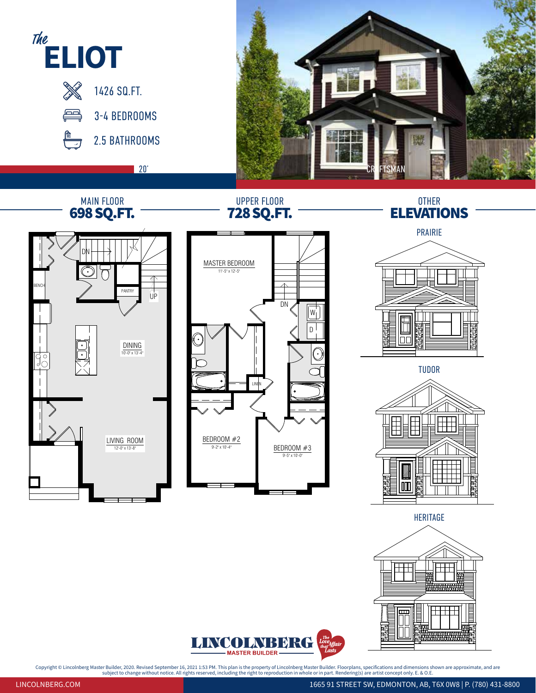



Copyright © Lincolnberg Master Builder, 2020. Revised September 16, 2021 1:53 PM. This plan is the property of Lincolnberg Master Builder. Floorplans, specifications and dimensions shown are approximate, and are<br>subject on metions and dimension